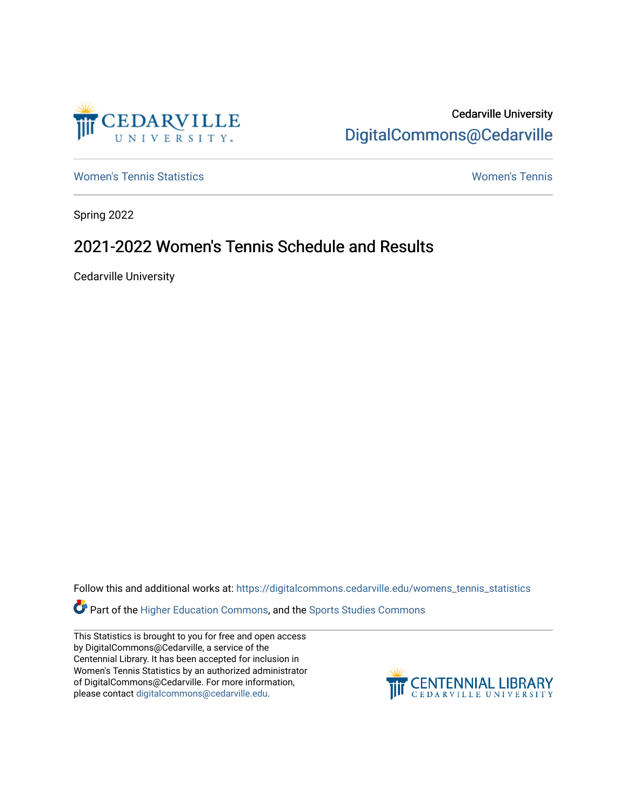

Cedarville University [DigitalCommons@Cedarville](https://digitalcommons.cedarville.edu/) 

[Women's Tennis Statistics](https://digitalcommons.cedarville.edu/womens_tennis_statistics) [Women's Tennis](https://digitalcommons.cedarville.edu/womens_tennis) 

Spring 2022

## 2021-2022 Women's Tennis Schedule and Results

Cedarville University

Follow this and additional works at: [https://digitalcommons.cedarville.edu/womens\\_tennis\\_statistics](https://digitalcommons.cedarville.edu/womens_tennis_statistics?utm_source=digitalcommons.cedarville.edu%2Fwomens_tennis_statistics%2F337&utm_medium=PDF&utm_campaign=PDFCoverPages) 

Part of the [Higher Education Commons,](https://network.bepress.com/hgg/discipline/1245?utm_source=digitalcommons.cedarville.edu%2Fwomens_tennis_statistics%2F337&utm_medium=PDF&utm_campaign=PDFCoverPages) and the [Sports Studies Commons](https://network.bepress.com/hgg/discipline/1198?utm_source=digitalcommons.cedarville.edu%2Fwomens_tennis_statistics%2F337&utm_medium=PDF&utm_campaign=PDFCoverPages) 

This Statistics is brought to you for free and open access by DigitalCommons@Cedarville, a service of the Centennial Library. It has been accepted for inclusion in Women's Tennis Statistics by an authorized administrator of DigitalCommons@Cedarville. For more information, please contact [digitalcommons@cedarville.edu](mailto:digitalcommons@cedarville.edu).